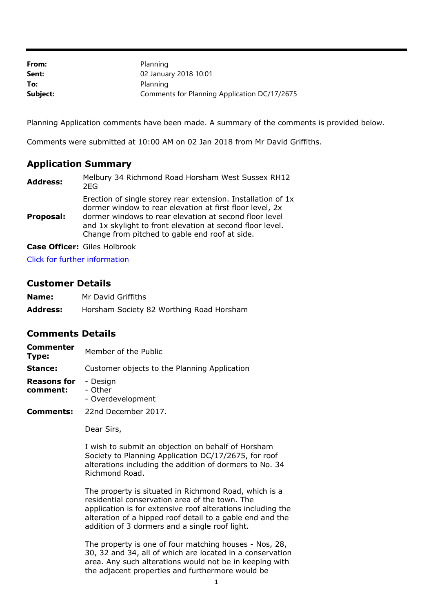| From:    | Planning                                     |
|----------|----------------------------------------------|
| Sent:    | 02 January 2018 10:01                        |
| To:      | Planning                                     |
| Subject: | Comments for Planning Application DC/17/2675 |

Planning Application comments have been made. A summary of the comments is provided below.

Comments were submitted at 10:00 AM on 02 Jan 2018 from Mr David Griffiths.

## **Application Summary**

| <b>Address:</b> | Melbury 34 Richmond Road Horsham West Sussex RH12<br>2FG                                                                                                                                                                                                                                          |
|-----------------|---------------------------------------------------------------------------------------------------------------------------------------------------------------------------------------------------------------------------------------------------------------------------------------------------|
| Proposal:       | Erection of single storey rear extension. Installation of 1x<br>dormer window to rear elevation at first floor level, 2x<br>dormer windows to rear elevation at second floor level<br>and 1x skylight to front elevation at second floor level.<br>Change from pitched to gable end roof at side. |

**Case Officer:** Giles Holbrook

[Click for further information](https://public-access.horsham.gov.uk/public-access//centralDistribution.do?caseType=Application&keyVal=P04YUNIJ02X00)

## **Customer Details**

| Name:           | Mr David Griffiths                       |
|-----------------|------------------------------------------|
| <b>Address:</b> | Horsham Society 82 Worthing Road Horsham |

## **Comments Details**

| <b>Commenter</b><br>Type:      | Member of the Public                         |
|--------------------------------|----------------------------------------------|
| Stance:                        | Customer objects to the Planning Application |
| <b>Reasons for</b><br>comment: | - Design<br>- Other<br>- Overdevelopment     |
| Comments:                      | 22nd December 2017.                          |

Dear Sirs,

I wish to submit an objection on behalf of Horsham Society to Planning Application DC/17/2675, for roof alterations including the addition of dormers to No. 34 Richmond Road.

The property is situated in Richmond Road, which is a residential conservation area of the town. The application is for extensive roof alterations including the alteration of a hipped roof detail to a gable end and the addition of 3 dormers and a single roof light.

The property is one of four matching houses - Nos, 28, 30, 32 and 34, all of which are located in a conservation area. Any such alterations would not be in keeping with the adjacent properties and furthermore would be